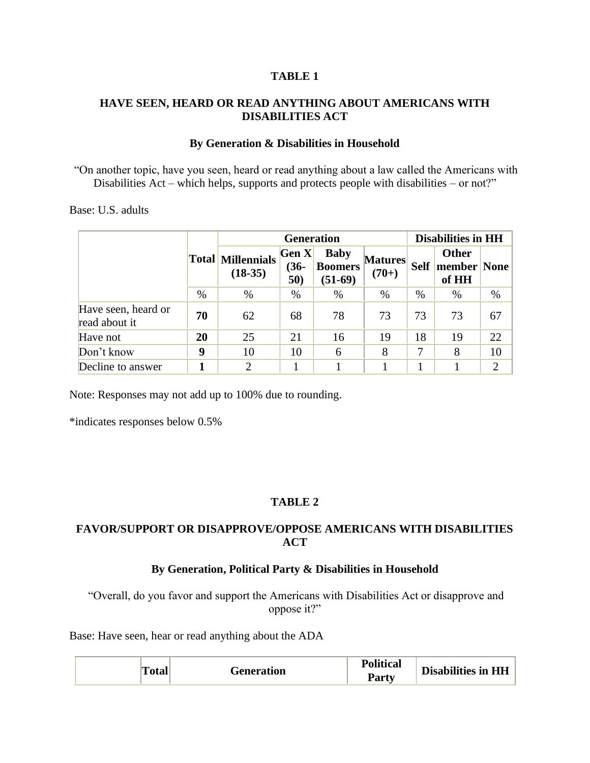#### **TABLE 1**

#### **HAVE SEEN, HEARD OR READ ANYTHING ABOUT AMERICANS WITH DISABILITIES ACT**

#### **By Generation & Disabilities in Household**

"On another topic, have you seen, heard or read anything about a law called the Americans with Disabilities Act – which helps, supports and protects people with disabilities – or not?"

#### Base: U.S. adults

|                                      |      |                                       | <b>Generation</b>       |                                            |                           | <b>Disabilities in HH</b> |                                      |                |  |  |
|--------------------------------------|------|---------------------------------------|-------------------------|--------------------------------------------|---------------------------|---------------------------|--------------------------------------|----------------|--|--|
|                                      |      | <b>Total Millennials</b><br>$(18-35)$ | Gen X <br>$(36-$<br>50) | <b>Baby</b><br><b>Boomers</b><br>$(51-69)$ | <b>Matures</b><br>$(70+)$ | <b>Self</b>               | <b>Other</b><br>member None<br>of HH |                |  |  |
|                                      | $\%$ | $\%$                                  | $\%$                    | %                                          | $\%$                      | $\%$                      | %                                    | $\%$           |  |  |
| Have seen, heard or<br>read about it | 70   | 62                                    | 68                      | 78                                         | 73                        | 73                        | 73                                   | 67             |  |  |
| Have not                             | 20   | 25                                    | 21                      | 16                                         | 19                        | 18                        | 19                                   | 22             |  |  |
| Don't know                           | 9    | 10                                    | 10                      | 6                                          | 8                         |                           | 8                                    | 10             |  |  |
| Decline to answer                    |      | $\overline{2}$                        |                         |                                            |                           |                           |                                      | $\overline{2}$ |  |  |

Note: Responses may not add up to 100% due to rounding.

\*indicates responses below 0.5%

### **TABLE 2**

## **FAVOR/SUPPORT OR DISAPPROVE/OPPOSE AMERICANS WITH DISABILITIES ACT**

#### **By Generation, Political Party & Disabilities in Household**

"Overall, do you favor and support the Americans with Disabilities Act or disapprove and oppose it?"

Base: Have seen, hear or read anything about the ADA

| <b>Political</b><br><b>Disabilities in HH</b><br>m<br><b>Generation</b><br>'otal<br><b>Party</b> |
|--------------------------------------------------------------------------------------------------|
|--------------------------------------------------------------------------------------------------|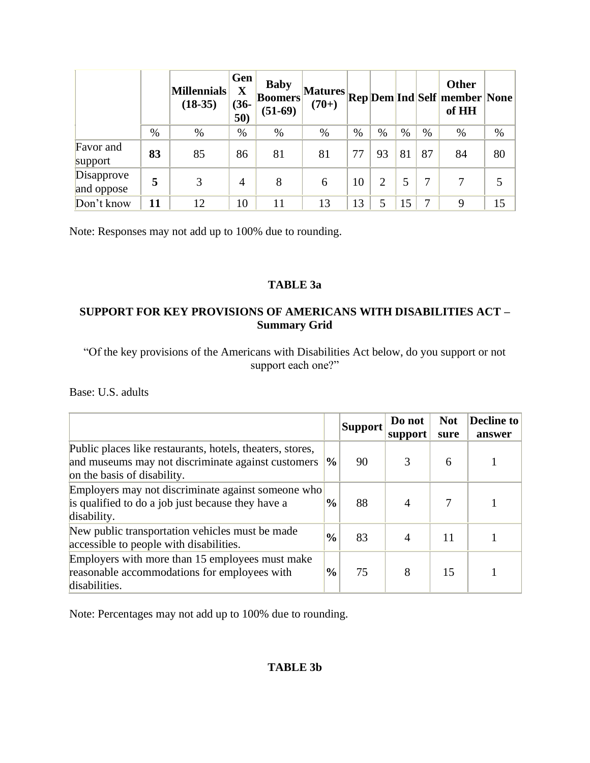|                          |      | <b>Millennials</b><br>$(18-35)$ | Gen<br>X<br>$(36-$<br>50) | <b>Baby</b><br> Boomers <br>$(51-69)$ | <b>Matures</b><br>$(70+)$ |      |                |    |      | <b>Other</b><br><b>Rep</b> Dem Ind Self member None<br>of HH |      |
|--------------------------|------|---------------------------------|---------------------------|---------------------------------------|---------------------------|------|----------------|----|------|--------------------------------------------------------------|------|
|                          | $\%$ | %                               | $\%$                      | %                                     | %                         | $\%$ | $\%$           | %  | $\%$ | $\%$                                                         | $\%$ |
| Favor and<br>support     | 83   | 85                              | 86                        | 81                                    | 81                        | 77   | 93             | 81 | 87   | 84                                                           | 80   |
| Disapprove<br>and oppose | 5    | 3                               | 4                         | 8                                     | 6                         | 10   | $\overline{2}$ | 5  | 7    |                                                              |      |
| Don't know               | 11   | 12                              | 10                        |                                       | 13                        | 13   | 5              | 15 |      | 9                                                            | 15   |

Note: Responses may not add up to 100% due to rounding.

## **TABLE 3a**

## **SUPPORT FOR KEY PROVISIONS OF AMERICANS WITH DISABILITIES ACT – Summary Grid**

"Of the key provisions of the Americans with Disabilities Act below, do you support or not support each one?"

Base: U.S. adults

|                                                                                                                                                |               | <b>Support</b> | Do not<br>support | <b>Not</b><br>sure | <b>Decline to</b><br>answer |
|------------------------------------------------------------------------------------------------------------------------------------------------|---------------|----------------|-------------------|--------------------|-----------------------------|
| Public places like restaurants, hotels, theaters, stores,<br>and museums may not discriminate against customers<br>on the basis of disability. | $\frac{0}{0}$ | 90             |                   | 6                  |                             |
| Employers may not discriminate against someone who<br>is qualified to do a job just because they have a<br>disability.                         | $\frac{0}{0}$ | 88             |                   |                    |                             |
| New public transportation vehicles must be made<br>accessible to people with disabilities.                                                     | $\frac{0}{0}$ | 83             |                   | 11                 |                             |
| Employers with more than 15 employees must make<br>reasonable accommodations for employees with<br>disabilities.                               | $\frac{0}{0}$ | 75             | 8                 | 15                 |                             |

Note: Percentages may not add up to 100% due to rounding.

## **TABLE 3b**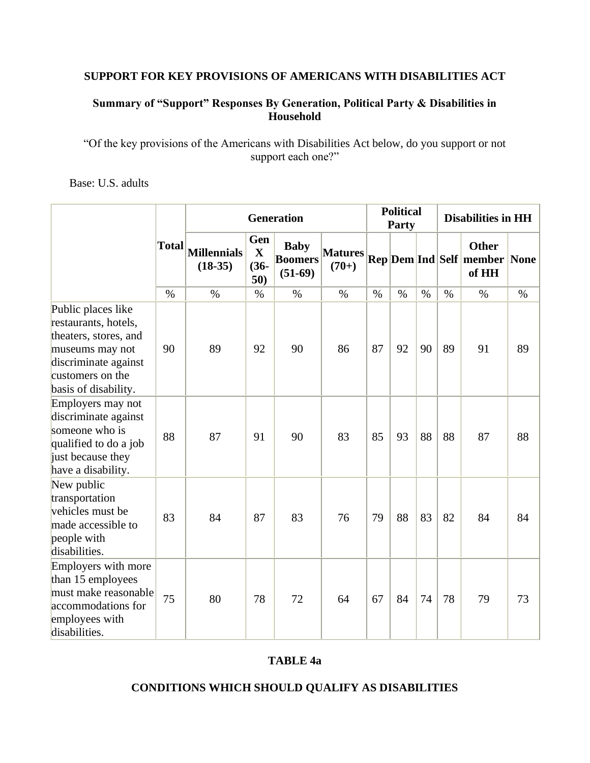## **SUPPORT FOR KEY PROVISIONS OF AMERICANS WITH DISABILITIES ACT**

## **Summary of "Support" Responses By Generation, Political Party & Disabilities in Household**

"Of the key provisions of the Americans with Disabilities Act below, do you support or not support each one?"

Base: U.S. adults

|                                                                                                                                                            |              | <b>Generation</b>               |                                      |                                            |                           |               | <b>Political</b><br>Party |      | <b>Disabilities in HH</b> |                                                              |      |  |
|------------------------------------------------------------------------------------------------------------------------------------------------------------|--------------|---------------------------------|--------------------------------------|--------------------------------------------|---------------------------|---------------|---------------------------|------|---------------------------|--------------------------------------------------------------|------|--|
|                                                                                                                                                            | <b>Total</b> | <b>Millennials</b><br>$(18-35)$ | Gen<br>$\mathbf X$<br>$(36 -$<br>50) | <b>Baby</b><br><b>Boomers</b><br>$(51-69)$ | <b>Matures</b><br>$(70+)$ |               |                           |      |                           | <b>Other</b><br><b>Rep Dem Ind Self member None</b><br>of HH |      |  |
|                                                                                                                                                            | $\%$         | $\%$                            | $\%$                                 | $\%$                                       | $\%$                      | $\frac{0}{0}$ | $\%$                      | $\%$ | $\%$                      | $\%$                                                         | $\%$ |  |
| Public places like<br>restaurants, hotels,<br>theaters, stores, and<br>museums may not<br>discriminate against<br>customers on the<br>basis of disability. | 90           | 89                              | 92                                   | 90                                         | 86                        | 87            | 92                        | 90   | 89                        | 91                                                           | 89   |  |
| Employers may not<br>discriminate against<br>someone who is<br>qualified to do a job<br>just because they<br>have a disability.                            | 88           | 87                              | 91                                   | 90                                         | 83                        | 85            | 93                        | 88   | 88                        | 87                                                           | 88   |  |
| New public<br>transportation<br>vehicles must be<br>made accessible to<br>people with<br>disabilities.                                                     | 83           | 84                              | 87                                   | 83                                         | 76                        | 79            | 88                        | 83   | 82                        | 84                                                           | 84   |  |
| Employers with more<br>than 15 employees<br>must make reasonable<br>accommodations for<br>employees with<br>disabilities.                                  | 75           | 80                              | 78                                   | 72                                         | 64                        | 67            | 84                        | 74   | 78                        | 79                                                           | 73   |  |

### **TABLE 4a**

#### **CONDITIONS WHICH SHOULD QUALIFY AS DISABILITIES**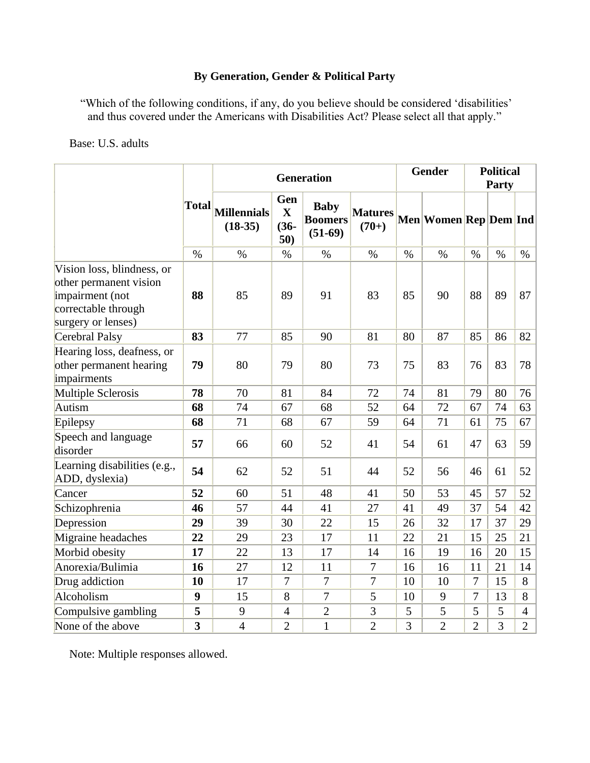## **By Generation, Gender & Political Party**

"Which of the following conditions, if any, do you believe should be considered 'disabilities' and thus covered under the Americans with Disabilities Act? Please select all that apply."

#### Base: U.S. adults

|                                                                                                                      |                         | <b>Generation</b>               |                                      |                                            |                           |      | Gender                | <b>Political</b> |       |                |  |
|----------------------------------------------------------------------------------------------------------------------|-------------------------|---------------------------------|--------------------------------------|--------------------------------------------|---------------------------|------|-----------------------|------------------|-------|----------------|--|
|                                                                                                                      |                         |                                 |                                      |                                            |                           |      |                       |                  | Party |                |  |
|                                                                                                                      | <b>Total</b>            | <b>Millennials</b><br>$(18-35)$ | Gen<br>$\mathbf X$<br>$(36 -$<br>50) | <b>Baby</b><br><b>Boomers</b><br>$(51-69)$ | <b>Matures</b><br>$(70+)$ |      | Men Women Rep Dem Ind |                  |       |                |  |
|                                                                                                                      | $\%$                    | $\%$                            | $\%$                                 | $\%$                                       | $\%$                      | $\%$ | $\%$                  | $\%$             | $\%$  | $\%$           |  |
| Vision loss, blindness, or<br>other permanent vision<br>impairment (not<br>correctable through<br>surgery or lenses) | 88                      | 85                              | 89                                   | 91                                         | 83                        | 85   | 90                    | 88               | 89    | 87             |  |
| <b>Cerebral Palsy</b>                                                                                                | 83                      | 77                              | 85                                   | 90                                         | 81                        | 80   | 87                    | 85               | 86    | 82             |  |
| Hearing loss, deafness, or<br>other permanent hearing<br>impairments                                                 | 79                      | 80                              | 79                                   | 80                                         | 73                        | 75   | 83                    | 76               | 83    | 78             |  |
| <b>Multiple Sclerosis</b>                                                                                            | 78                      | 70                              | 81                                   | 84                                         | 72                        | 74   | 81                    | 79               | 80    | 76             |  |
| Autism                                                                                                               | 68                      | 74                              | 67                                   | 68                                         | 52                        | 64   | 72                    | 67               | 74    | 63             |  |
| Epilepsy                                                                                                             | 68                      | 71                              | 68                                   | 67                                         | 59                        | 64   | 71                    | 61               | 75    | 67             |  |
| Speech and language<br>disorder                                                                                      | 57                      | 66                              | 60                                   | 52                                         | 41                        | 54   | 61                    | 47               | 63    | 59             |  |
| Learning disabilities (e.g.,<br>ADD, dyslexia)                                                                       | 54                      | 62                              | 52                                   | 51                                         | 44                        | 52   | 56                    | 46               | 61    | 52             |  |
| Cancer                                                                                                               | 52                      | 60                              | 51                                   | 48                                         | 41                        | 50   | 53                    | 45               | 57    | 52             |  |
| Schizophrenia                                                                                                        | 46                      | 57                              | 44                                   | 41                                         | 27                        | 41   | 49                    | 37               | 54    | 42             |  |
| Depression                                                                                                           | 29                      | 39                              | 30                                   | 22                                         | 15                        | 26   | 32                    | 17               | 37    | 29             |  |
| Migraine headaches                                                                                                   | 22                      | 29                              | 23                                   | 17                                         | 11                        | 22   | 21                    | 15               | 25    | 21             |  |
| Morbid obesity                                                                                                       | 17                      | 22                              | 13                                   | 17                                         | 14                        | 16   | 19                    | 16               | 20    | 15             |  |
| Anorexia/Bulimia                                                                                                     | 16                      | 27                              | 12                                   | 11                                         | $\tau$                    | 16   | 16                    | 11               | 21    | 14             |  |
| Drug addiction                                                                                                       | 10                      | 17                              | 7                                    | $\overline{7}$                             | 7                         | 10   | 10                    | $\overline{7}$   | 15    | 8              |  |
| Alcoholism                                                                                                           | 9                       | 15                              | 8                                    | 7                                          | 5                         | 10   | 9                     | $\overline{7}$   | 13    | 8              |  |
| Compulsive gambling                                                                                                  | 5                       | 9                               | $\overline{4}$                       | $\overline{2}$                             | 3                         | 5    | 5                     | 5                | 5     | 4              |  |
| None of the above                                                                                                    | $\overline{\mathbf{3}}$ | $\overline{4}$                  | $\overline{2}$                       | $\mathbf{1}$                               | $\overline{2}$            | 3    | $\overline{2}$        | $\overline{2}$   | 3     | $\overline{2}$ |  |

Note: Multiple responses allowed.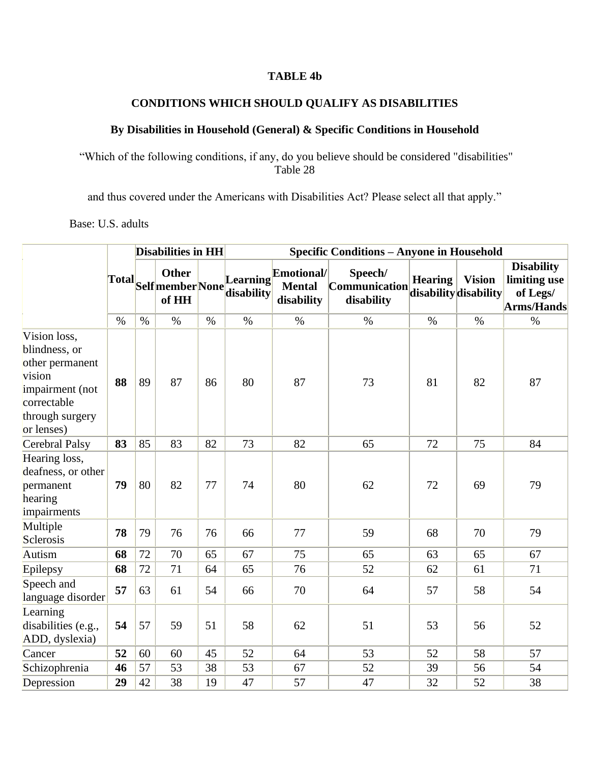### **TABLE 4b**

# **CONDITIONS WHICH SHOULD QUALIFY AS DISABILITIES**

## **By Disabilities in Household (General) & Specific Conditions in Household**

"Which of the following conditions, if any, do you believe should be considered "disabilities" Table 28

and thus covered under the Americans with Disabilities Act? Please select all that apply."

Base: U.S. adults

|                                                                                                                               |      |      | Disabilities in HH    |      | <b>Specific Conditions - Anyone in Household</b> |                                           |                                                                 |                |               |                                                                    |  |  |  |  |
|-------------------------------------------------------------------------------------------------------------------------------|------|------|-----------------------|------|--------------------------------------------------|-------------------------------------------|-----------------------------------------------------------------|----------------|---------------|--------------------------------------------------------------------|--|--|--|--|
|                                                                                                                               |      |      | <b>Other</b><br>of HH |      | Total Self member None disability<br>Learning    | Emotional/<br><b>Mental</b><br>disability | Speech/<br>$[Communication disability disability$<br>disability | <b>Hearing</b> | <b>Vision</b> | <b>Disability</b><br>limiting use<br>of Legs/<br><b>Arms/Hands</b> |  |  |  |  |
|                                                                                                                               | $\%$ | $\%$ | $\frac{0}{0}$         | $\%$ | $\%$                                             | $\%$                                      | $\%$                                                            | $\%$           | $\%$          | $\%$                                                               |  |  |  |  |
| Vision loss,<br>blindness, or<br>other permanent<br>vision<br>impairment (not<br>correctable<br>through surgery<br>or lenses) | 88   | 89   | 87                    | 86   | 80                                               | 87                                        | 73                                                              | 81             | 82            | 87                                                                 |  |  |  |  |
| Cerebral Palsy                                                                                                                | 83   | 85   | 83                    | 82   | 73                                               | 82                                        | 65                                                              | 72             | 75            | 84                                                                 |  |  |  |  |
| Hearing loss,<br>deafness, or other<br>permanent<br>hearing<br>impairments                                                    | 79   | 80   | 82                    | 77   | 74                                               | 80                                        | 62                                                              | 72             | 69            | 79                                                                 |  |  |  |  |
| Multiple<br>Sclerosis                                                                                                         | 78   | 79   | 76                    | 76   | 66                                               | 77                                        | 59                                                              | 68             | 70            | 79                                                                 |  |  |  |  |
| Autism                                                                                                                        | 68   | 72   | 70                    | 65   | 67                                               | 75                                        | 65                                                              | 63             | 65            | 67                                                                 |  |  |  |  |
| Epilepsy                                                                                                                      | 68   | 72   | 71                    | 64   | 65                                               | 76                                        | 52                                                              | 62             | 61            | 71                                                                 |  |  |  |  |
| Speech and<br>language disorder                                                                                               | 57   | 63   | 61                    | 54   | 66                                               | 70                                        | 64                                                              | 57             | 58            | 54                                                                 |  |  |  |  |
| Learning<br>disabilities (e.g.,<br>ADD, dyslexia)                                                                             | 54   | 57   | 59                    | 51   | 58                                               | 62                                        | 51                                                              | 53             | 56            | 52                                                                 |  |  |  |  |
| Cancer                                                                                                                        | 52   | 60   | 60                    | 45   | 52                                               | 64                                        | 53                                                              | 52             | 58            | 57                                                                 |  |  |  |  |
| Schizophrenia                                                                                                                 | 46   | 57   | 53                    | 38   | 53                                               | 67                                        | 52                                                              | 39             | 56            | 54                                                                 |  |  |  |  |
| Depression                                                                                                                    | 29   | 42   | 38                    | 19   | 47                                               | 57                                        | 47                                                              | 32             | 52            | 38                                                                 |  |  |  |  |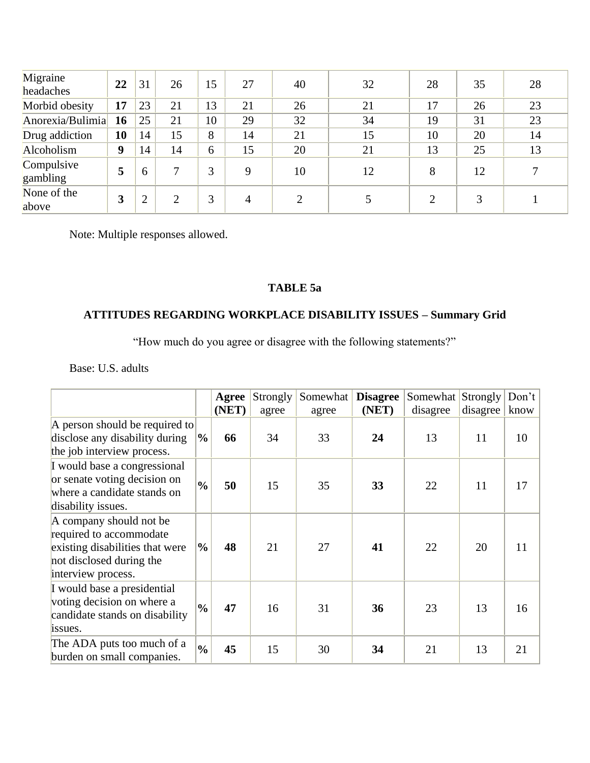| Migraine<br>headaches  | 22 | 31       | 26 | 15 | 27             | 40            | 32 | 28 | 35 | 28 |
|------------------------|----|----------|----|----|----------------|---------------|----|----|----|----|
| Morbid obesity         | 17 | 23       | 21 | 13 | 21             | 26            | 21 | 17 | 26 | 23 |
| Anorexia/Bulimia       | 16 | 25       | 21 | 10 | 29             | 32            | 34 | 19 | 31 | 23 |
| Drug addiction         | 10 | 14       | 15 | 8  | 14             | 21            | 15 | 10 | 20 | 14 |
| Alcoholism             | 9  | 14       | 14 | 6  | 15             | 20            | 21 | 13 | 25 | 13 |
| Compulsive<br>gambling | 5  | $\sigma$ | 7  | 3  | 9              | 10            | 12 | 8  | 12 | 7  |
| None of the<br>above   | 3  | ◠        | ↑  | 3  | $\overline{A}$ | $\mathcal{D}$ |    |    | 3  |    |

Note: Multiple responses allowed.

## **TABLE 5a**

# **ATTITUDES REGARDING WORKPLACE DISABILITY ISSUES – Summary Grid**

"How much do you agree or disagree with the following statements?"

Base: U.S. adults

|                                                                                                                                         |               | Agree<br>(NET) | Strongly<br>agree | Somewhat<br>agree | <b>Disagree</b><br>(NET) | Somewhat<br>disagree | Strongly<br>disagree | Don't<br>know |
|-----------------------------------------------------------------------------------------------------------------------------------------|---------------|----------------|-------------------|-------------------|--------------------------|----------------------|----------------------|---------------|
| A person should be required to<br>disclose any disability during<br>the job interview process.                                          | $\frac{6}{9}$ | 66             | 34                | 33                | 24                       | 13                   | 11                   | 10            |
| I would base a congressional<br>or senate voting decision on<br>where a candidate stands on<br>disability issues.                       | $\frac{0}{0}$ | 50             | 15                | 35                | 33                       | 22                   | 11                   | 17            |
| A company should not be<br>required to accommodate<br>existing disabilities that were<br>not disclosed during the<br>interview process. | $\frac{0}{0}$ | 48             | 21                | 27                | 41                       | 22                   | 20                   | 11            |
| I would base a presidential<br>voting decision on where a<br>candidate stands on disability<br>issues.                                  | $\frac{0}{0}$ | 47             | 16                | 31                | 36                       | 23                   | 13                   | 16            |
| The ADA puts too much of a<br>burden on small companies.                                                                                | $\frac{0}{0}$ | 45             | 15                | 30                | 34                       | 21                   | 13                   | 21            |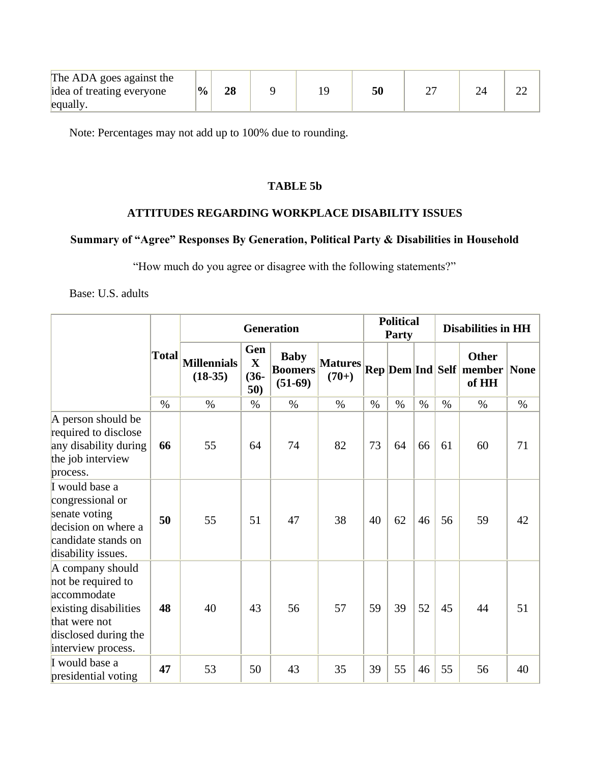| The ADA goes against the  |                |    |  |    |  |  |
|---------------------------|----------------|----|--|----|--|--|
| idea of treating everyone | $\mathbf{v}_0$ | 28 |  | 50 |  |  |
| equally.                  |                |    |  |    |  |  |

Note: Percentages may not add up to 100% due to rounding.

### **TABLE 5b**

#### **ATTITUDES REGARDING WORKPLACE DISABILITY ISSUES**

## **Summary of "Agree" Responses By Generation, Political Party & Disabilities in Household**

"How much do you agree or disagree with the following statements?"

Base: U.S. adults

|                                                                                                                                               |              | <b>Generation</b>               |                                       |                                            |                           |      | <b>Political</b><br><b>Party</b> |      | <b>Disabilities in HH</b> |                                                              |      |  |
|-----------------------------------------------------------------------------------------------------------------------------------------------|--------------|---------------------------------|---------------------------------------|--------------------------------------------|---------------------------|------|----------------------------------|------|---------------------------|--------------------------------------------------------------|------|--|
|                                                                                                                                               | <b>Total</b> | <b>Millennials</b><br>$(18-35)$ | Gen<br>$\mathbf{X}$<br>$(36 -$<br>50) | <b>Baby</b><br><b>Boomers</b><br>$(51-69)$ | <b>Matures</b><br>$(70+)$ |      |                                  |      |                           | <b>Other</b><br><b>Rep Dem Ind Self member None</b><br>of HH |      |  |
|                                                                                                                                               | $\%$         | $\%$                            | $\%$                                  | $\%$                                       | $\%$                      | $\%$ | $\%$                             | $\%$ | $\%$                      | $\%$                                                         | $\%$ |  |
| A person should be<br>required to disclose<br>any disability during<br>the job interview<br>process.                                          | 66           | 55                              | 64                                    | 74                                         | 82                        | 73   | 64                               | 66   | 61                        | 60                                                           | 71   |  |
| I would base a<br>congressional or<br>senate voting<br>decision on where a<br>candidate stands on<br>disability issues.                       | 50           | 55                              | 51                                    | 47                                         | 38                        | 40   | 62                               | 46   | 56                        | 59                                                           | 42   |  |
| A company should<br>not be required to<br>accommodate<br>existing disabilities<br>that were not<br>disclosed during the<br>interview process. | 48           | 40                              | 43                                    | 56                                         | 57                        | 59   | 39                               | 52   | 45                        | 44                                                           | 51   |  |
| I would base a<br>presidential voting                                                                                                         | 47           | 53                              | 50                                    | 43                                         | 35                        | 39   | 55                               | 46   | 55                        | 56                                                           | 40   |  |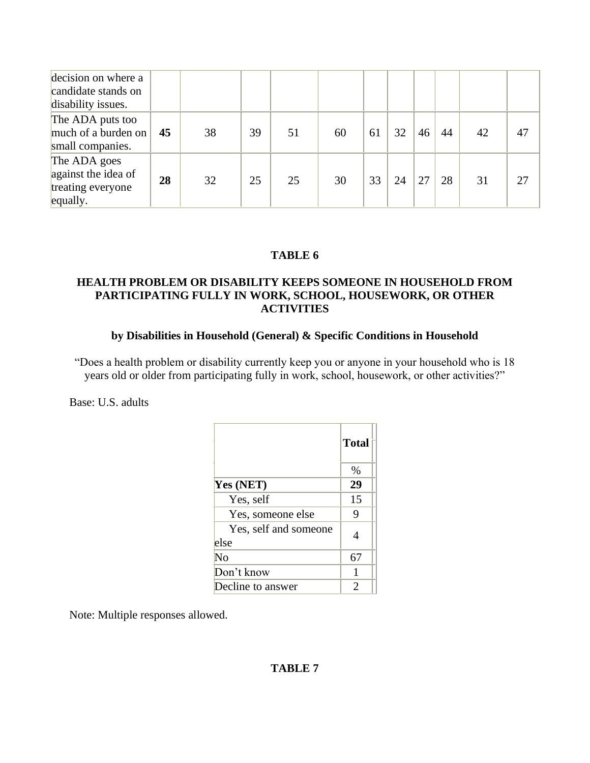| decision on where a<br>candidate stands on<br>disability issues.     |    |    |    |    |    |    |    |    |    |    |    |
|----------------------------------------------------------------------|----|----|----|----|----|----|----|----|----|----|----|
| The ADA puts too<br>much of a burden on<br>small companies.          | 45 | 38 | 39 | 51 | 60 | 61 | 32 | 46 | 44 | 42 | 47 |
| The ADA goes<br>against the idea of<br>treating everyone<br>equally. | 28 | 32 | 25 | 25 | 30 | 33 | 24 |    | 28 | 31 | 27 |

### **TABLE 6**

### **HEALTH PROBLEM OR DISABILITY KEEPS SOMEONE IN HOUSEHOLD FROM PARTICIPATING FULLY IN WORK, SCHOOL, HOUSEWORK, OR OTHER ACTIVITIES**

#### **by Disabilities in Household (General) & Specific Conditions in Household**

"Does a health problem or disability currently keep you or anyone in your household who is 18 years old or older from participating fully in work, school, housework, or other activities?"

Base: U.S. adults

|                               | <b>Total</b> |
|-------------------------------|--------------|
|                               | $\%$         |
| Yes (NET)                     | 29           |
| Yes, self                     | 15           |
| Yes, someone else             | 9            |
| Yes, self and someone<br>else |              |
| No                            | 67           |
| Don't know                    |              |
| Decline to answer             | 2            |

Note: Multiple responses allowed.

### **TABLE 7**